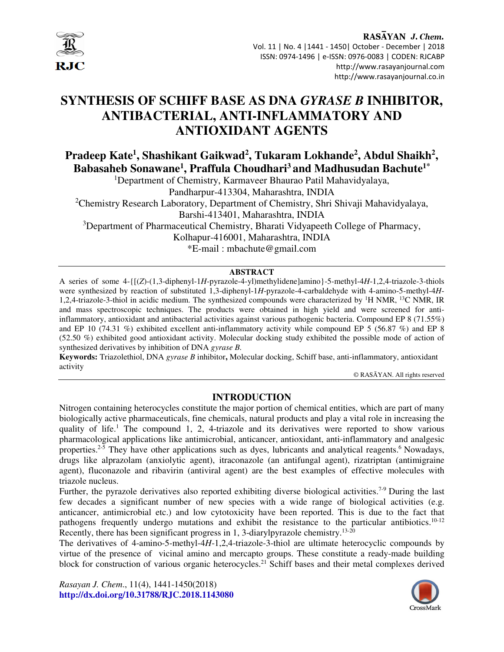

#### RASAYAN J. Chem. Vol. 11 | No. 4 |1441 - 1450| October - December | 2018 ISSN: 0974-1496 | e-ISSN: 0976-0083 | CODEN: RJCABP http://www.rasayanjournal.com http://www.rasayanjournal.co.in

# **SYNTHESIS OF SCHIFF BASE AS DNA** *GYRASE B* **INHIBITOR, ANTIBACTERIAL, ANTI-INFLAMMATORY AND ANTIOXIDANT AGENTS**

**Pradeep Kate<sup>1</sup> , Shashikant Gaikwad<sup>2</sup> , Tukaram Lokhande<sup>2</sup> , Abdul Shaikh<sup>2</sup> , Babasaheb Sonawane<sup>1</sup> , Praffula Choudhari<sup>3</sup>and Madhusudan Bachute1\*** 

<sup>1</sup>Department of Chemistry, Karmaveer Bhaurao Patil Mahavidyalaya, Pandharpur-413304, Maharashtra, INDIA <sup>2</sup>Chemistry Research Laboratory, Department of Chemistry, Shri Shivaji Mahavidyalaya, Barshi-413401, Maharashtra, INDIA <sup>3</sup>Department of Pharmaceutical Chemistry, Bharati Vidyapeeth College of Pharmacy, Kolhapur-416001, Maharashtra, INDIA

\*E-mail : mbachute@gmail.com

#### **ABSTRACT**

A series of some 4-{[(*Z*)-(1,3-diphenyl-1*H*-pyrazole-4-yl)methylidene]amino}-5-methyl-4*H*-1,2,4-triazole-3-thiols were synthesized by reaction of substituted 1,3-diphenyl-1*H*-pyrazole-4-carbaldehyde with 4-amino-5-methyl-4*H*-1,2,4-triazole-3-thiol in acidic medium. The synthesized compounds were characterized by <sup>1</sup>H NMR, <sup>13</sup>C NMR, IR and mass spectroscopic techniques. The products were obtained in high yield and were screened for antiinflammatory, antioxidant and antibacterial activities against various pathogenic bacteria. Compound EP 8 (71.55%) and EP 10 (74.31 %) exhibited excellent anti-inflammatory activity while compound EP 5 (56.87 %) and EP 8 (52.50 %) exhibited good antioxidant activity. Molecular docking study exhibited the possible mode of action of synthesized derivatives by inhibition of DNA *gyrase B.* 

**Keywords:** Triazolethiol, DNA *gyrase B* inhibitor**,** Molecular docking, Schiff base, anti-inflammatory, antioxidant activity

© RASĀYAN. All rights reserved

# **INTRODUCTION**

Nitrogen containing heterocycles constitute the major portion of chemical entities, which are part of many biologically active pharmaceuticals, fine chemicals, natural products and play a vital role in increasing the quality of life.<sup>1</sup> The compound 1, 2, 4-triazole and its derivatives were reported to show various pharmacological applications like antimicrobial, anticancer, antioxidant, anti-inflammatory and analgesic properties.<sup>2-5</sup> They have other applications such as dyes, lubricants and analytical reagents.<sup>6</sup> Nowadays, drugs like alprazolam (anxiolytic agent), itraconazole (an antifungal agent), rizatriptan (antimigraine agent), fluconazole and ribavirin (antiviral agent) are the best examples of effective molecules with triazole nucleus.

Further, the pyrazole derivatives also reported exhibiting diverse biological activities.<sup>7-9</sup> During the last few decades a significant number of new species with a wide range of biological activities (e.g. anticancer, antimicrobial etc.) and low cytotoxicity have been reported. This is due to the fact that pathogens frequently undergo mutations and exhibit the resistance to the particular antibiotics.10-12 Recently, there has been significant progress in 1, 3-diarylpyrazole chemistry.<sup>13-20</sup>

The derivatives of 4-amino-5-methyl-4*H*-1,2,4-triazole-3-thiol are ultimate heterocyclic compounds by virtue of the presence of vicinal amino and mercapto groups. These constitute a ready-made building block for construction of various organic heterocycles.<sup>21</sup> Schiff bases and their metal complexes derived

*Rasayan J. Chem*., 11(4), 1441-1450(2018) **http://dx.doi.org/10.31788/RJC.2018.1143080**

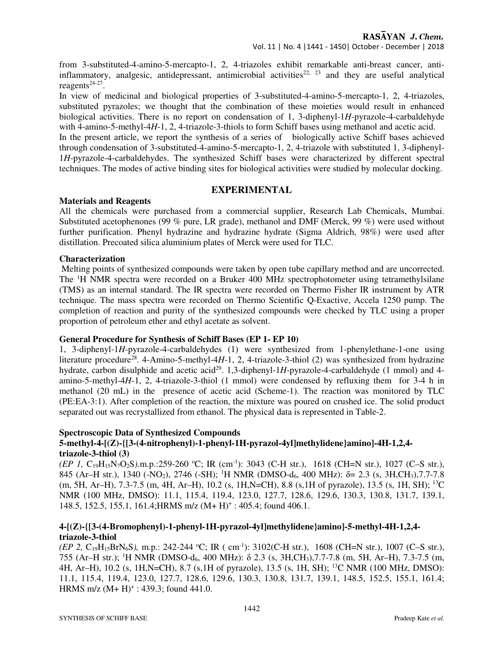from 3-substituted-4-amino-5-mercapto-1, 2, 4-triazoles exhibit remarkable anti-breast cancer, antiinflammatory, analgesic, antidepressant, antimicrobial activities<sup>22, 23</sup> and they are useful analytical reagents $24-27$ .

In view of medicinal and biological properties of 3-substituted-4-amino-5-mercapto-1, 2, 4-triazoles, substituted pyrazoles; we thought that the combination of these moieties would result in enhanced biological activities. There is no report on condensation of 1, 3-diphenyl-1*H*-pyrazole-4-carbaldehyde with 4-amino-5-methyl-4*H*-1, 2, 4-triazole-3-thiols to form Schiff bases using methanol and acetic acid.

In the present article, we report the synthesis of a series of biologically active Schiff bases achieved through condensation of 3-substituted-4-amino-5-mercapto-1, 2, 4-triazole with substituted 1, 3-diphenyl-1*H*-pyrazole-4-carbaldehydes. The synthesized Schiff bases were characterized by different spectral techniques. The modes of active binding sites for biological activities were studied by molecular docking.

# **EXPERIMENTAL**

#### **Materials and Reagents**

All the chemicals were purchased from a commercial supplier, Research Lab Chemicals, Mumbai. Substituted acetophenones (99 % pure, LR grade), methanol and DMF (Merck, 99 %) were used without further purification. Phenyl hydrazine and hydrazine hydrate (Sigma Aldrich, 98%) were used after distillation. Precoated silica aluminium plates of Merck were used for TLC.

## **Characterization**

 Melting points of synthesized compounds were taken by open tube capillary method and are uncorrected. The <sup>1</sup>H NMR spectra were recorded on a Bruker 400 MHz spectrophotometer using tetramethylsilane (TMS) as an internal standard. The IR spectra were recorded on Thermo Fisher IR instrument by ATR technique. The mass spectra were recorded on Thermo Scientific Q-Exactive, Accela 1250 pump. The completion of reaction and purity of the synthesized compounds were checked by TLC using a proper proportion of petroleum ether and ethyl acetate as solvent.

## **General Procedure for Synthesis of Schiff Bases (EP 1- EP 10)**

1, 3-diphenyl-1*H*-pyrazole-4-carbaldehydes (1) were synthesized from 1-phenylethane-1-one using literature procedure<sup>28</sup>. 4-Amino-5-methyl-4*H*-1, 2, 4-triazole-3-thiol (2) was synthesized from hydrazine hydrate, carbon disulphide and acetic acid<sup>29</sup>. 1,3-diphenyl-1H-pyrazole-4-carbaldehyde (1 mmol) and 4amino-5-methyl-4*H*-1, 2, 4-triazole-3-thiol (1 mmol) were condensed by refluxing them for 3-4 h in methanol (20 mL) in the presence of acetic acid (Scheme-1). The reaction was monitored by TLC (PE:EA-3:1). After completion of the reaction, the mixture was poured on crushed ice. The solid product separated out was recrystallized from ethanol. The physical data is represented in Table-2.

#### **Spectroscopic Data of Synthesized Compounds**

## **5-methyl-4-[(Z)-{[3-(4-nitrophenyl)-1-phenyl-1H-pyrazol-4yl]methylidene}amino]-4H-1,2,4 triazole-3-thiol (3)**

*(EP 1, C*<sub>19</sub>H<sub>15</sub>N<sub>7</sub>O<sub>2</sub>S*).*m.p.:259-260 °C; IR (cm<sup>-1</sup>): 3043 (C-H str.), 1618 (CH=N str.), 1027 (C–S str.), 845 (Ar–H str.), 1340 (-NO<sub>2</sub>), 2746 (-SH); <sup>1</sup>H NMR (DMSO-d<sub>6</sub>, 400 MHz): δ= 2.3 (s, 3H,CH<sub>3</sub>),7.7-7.8 (m, 5H, Ar–H), 7.3-7.5 (m, 4H, Ar–H), 10.2 (s, 1H,N=CH), 8.8 (s,1H of pyrazole), 13.5 (s, 1H, SH); <sup>13</sup>C NMR (100 MHz, DMSO): 11.1, 115.4, 119.4, 123.0, 127.7, 128.6, 129.6, 130.3, 130.8, 131.7, 139.1, 148.5, 152.5, 155.1, 161.4; HRMS m/z (M+H)<sup>+</sup>: 405.4; found 406.1.

## **4-[(Z)-{[3-(4-Bromophenyl)-1-phenyl-1H-pyrazol-4yl]methylidene}amino]-5-methyl-4H-1,2,4 triazole-3-thiol**

*(EP 2, C*<sub>19</sub>H<sub>15</sub>BrN<sub>6</sub>S), m.p.: 242-244 °C; IR ( cm<sup>-1</sup>): 3102(C-H str.), 1608 (CH=N str.), 1007 (C–S str.), 755 (Ar–H str.); <sup>1</sup>H NMR (DMSO-d6, 400 MHz): δ 2.3 (s, 3H,CH3),7.7-7.8 (m, 5H, Ar–H), 7.3-7.5 (m, 4H, Ar–H), 10.2 (s, 1H,N=CH), 8.7 (s,1H of pyrazole), 13.5 (s, 1H, SH); <sup>13</sup>C NMR (100 MHz, DMSO): 11.1, 115.4, 119.4, 123.0, 127.7, 128.6, 129.6, 130.3, 130.8, 131.7, 139.1, 148.5, 152.5, 155.1, 161.4; HRMS m/z  $(M+H)^+$ : 439.3; found 441.0.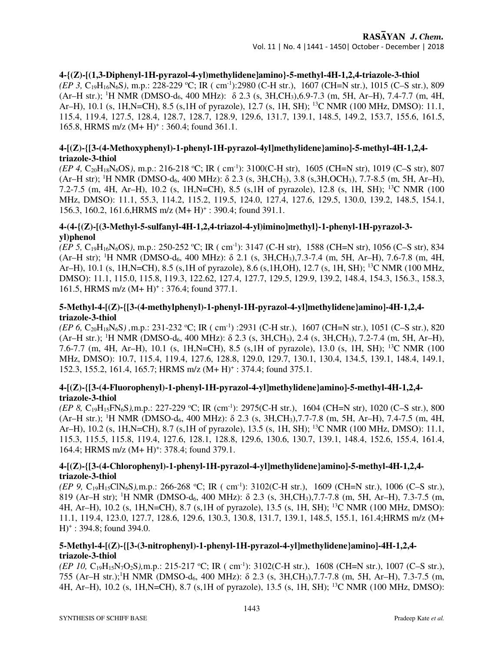## **4-{(Z)-[(1,3-Diphenyl-1H-pyrazol-4-yl)methylidene]amino}-5-methyl-4H-1,2,4-triazole-3-thiol** *(EP 3, C*<sub>19</sub>H<sub>16</sub>N<sub>6</sub>S), m.p.: 228-229 °C; IR ( cm<sup>-1</sup>):2980 (C-H str.), 1607 (CH=N str.), 1015 (C–S str.), 809 (Ar–H str.); <sup>1</sup>H NMR (DMSO-d6, 400 MHz): δ 2.3 (s, 3H,CH3),6.9-7.3 (m, 5H, Ar–H), 7.4-7.7 (m, 4H, Ar–H), 10.1 (s, 1H,N=CH), 8.5 (s,1H of pyrazole), 12.7 (s, 1H, SH); <sup>13</sup>C NMR (100 MHz, DMSO): 11.1, 115.4, 119.4, 127.5, 128.4, 128.7, 128.7, 128.9, 129.6, 131.7, 139.1, 148.5, 149.2, 153.7, 155.6, 161.5, 165.8, HRMS m/z  $(M+H)^+$ : 360.4; found 361.1.

# **4-[(Z)-{[3-(4-Methoxyphenyl)-1-phenyl-1H-pyrazol-4yl]methylidene}amino]-5-methyl-4H-1,2,4 triazole-3-thiol**

*(EP 4, C*<sub>20</sub>H<sub>18</sub>N<sub>6</sub>OS), m.p.: 216-218 °C; IR ( cm<sup>-1</sup>): 3100(C-H str), 1605 (CH=N str), 1019 (C–S str), 807  $(Ar-H str)$ ; <sup>1</sup>H NMR (DMSO-d<sub>6</sub>, 400 MHz):  $\delta$  2.3 (s, 3H,CH<sub>3</sub>), 3.8 (s, 3H,OCH<sub>3</sub>), 7.7-8.5 (m, 5H, Ar–H), 7.2-7.5 (m, 4H, Ar–H), 10.2 (s, 1H,N=CH), 8.5 (s,1H of pyrazole), 12.8 (s, 1H, SH); <sup>13</sup>C NMR (100 MHz, DMSO): 11.1, 55.3, 114.2, 115.2, 119.5, 124.0, 127.4, 127.6, 129.5, 130.0, 139.2, 148.5, 154.1, 156.3, 160.2, 161.6, HRMS m/z (M+ H)<sup>+</sup>: 390.4; found 391.1.

## **4-(4-{(Z)-[(3-Methyl-5-sulfanyl-4H-1,2,4-triazol-4-yl)imino]methyl}-1-phenyl-1H-pyrazol-3 yl)phenol**

*(EP 5, C*<sub>19</sub>H<sub>16</sub>N<sub>6</sub>OS), m.p.: 250-252 °C; IR ( cm<sup>-1</sup>): 3147 (C-H str), 1588 (CH=N str), 1056 (C–S str), 834 (Ar–H str); <sup>1</sup>H NMR (DMSO-d6, 400 MHz): δ 2.1 (s, 3H,CH3),7.3-7.4 (m, 5H, Ar–H), 7.6-7.8 (m, 4H, Ar–H), 10.1 (s, 1H,N=CH), 8.5 (s,1H of pyrazole), 8.6 (s,1H,OH), 12.7 (s, 1H, SH); <sup>13</sup>C NMR (100 MHz, DMSO): 11.1, 115.0, 115.8, 119.3, 122.62, 127.4, 127.7, 129.5, 129.9, 139.2, 148.4, 154.3, 156.3., 158.3, 161.5, HRMS m/z (M+ H)<sup>+</sup>: 376.4; found 377.1.

## **5-Methyl-4-[(Z)-{[3-(4-methylphenyl)-1-phenyl-1H-pyrazol-4-yl]methylidene}amino]-4H-1,2,4 triazole-3-thiol**

*(EP 6, C*<sub>20</sub>H<sub>18</sub>N<sub>6</sub>S), m.p.: 231-232 °C; IR ( cm<sup>-1</sup>) :2931 (C-H str.), 1607 (CH=N str.), 1051 (C–S str.), 820  $(Ar-H str.)$ ; <sup>1</sup>H NMR (DMSO-d<sub>6</sub>, 400 MHz):  $\delta$  2.3 (s, 3H,CH<sub>3</sub>), 2.4 (s, 3H,CH<sub>3</sub>), 7.2-7.4 (m, 5H, Ar–H), 7.6-7.7 (m, 4H, Ar–H), 10.1 (s, 1H,N=CH), 8.5 (s,1H of pyrazole), 13.0 (s, 1H, SH); <sup>13</sup>C NMR (100 MHz, DMSO): 10.7, 115.4, 119.4, 127.6, 128.8, 129.0, 129.7, 130.1, 130.4, 134.5, 139.1, 148.4, 149.1, 152.3, 155.2, 161.4, 165.7; HRMS m/z (M+ H)<sup>+</sup>: 374.4; found 375.1.

# **4-[(Z)-{[3-(4-Fluorophenyl)-1-phenyl-1H-pyrazol-4-yl]methylidene}amino]-5-methyl-4H-1,2,4 triazole-3-thiol**

*(EP 8, C*<sub>19</sub>H<sub>15</sub>FN<sub>6</sub>S),m.p.: 227-229 °C; IR (cm<sup>-1</sup>): 2975(C-H str.), 1604 (CH=N str), 1020 (C–S str.), 800  $(Ar-H str.)$ ; <sup>1</sup>H NMR (DMSO-d<sub>6</sub>, 400 MHz):  $\delta$  2.3 (s, 3H,CH<sub>3</sub>), 7.7-7.8 (m, 5H, Ar–H), 7.4-7.5 (m, 4H, Ar–H), 10.2 (s, 1H,N=CH), 8.7 (s, 1H of pyrazole), 13.5 (s, 1H, SH); <sup>13</sup>C NMR (100 MHz, DMSO): 11.1, 115.3, 115.5, 115.8, 119.4, 127.6, 128.1, 128.8, 129.6, 130.6, 130.7, 139.1, 148.4, 152.6, 155.4, 161.4, 164.4; HRMS m/z (M+ H)<sup>+</sup>: 378.4; found 379.1.

# **4-[(Z)-{[3-(4-Chlorophenyl)-1-phenyl-1H-pyrazol-4-yl]methylidene}amino]-5-methyl-4H-1,2,4 triazole-3-thiol**

*(EP 9, C*<sub>19</sub>H<sub>15</sub>ClN<sub>6</sub>S),m.p.: 266-268 °C; IR ( cm<sup>-1</sup>): 3102(C-H str.), 1609 (CH=N str.), 1006 (C–S str.), 819 (Ar–H str); <sup>1</sup>H NMR (DMSO-d6, 400 MHz): δ 2.3 (s, 3H,CH3),7.7-7.8 (m, 5H, Ar–H), 7.3-7.5 (m, 4H, Ar–H), 10.2 (s, 1H,N=CH), 8.7 (s,1H of pyrazole), 13.5 (s, 1H, SH); <sup>13</sup>C NMR (100 MHz, DMSO): 11.1, 119.4, 123.0, 127.7, 128.6, 129.6, 130.3, 130.8, 131.7, 139.1, 148.5, 155.1, 161.4;HRMS m/z (M+ H)<sup>+</sup> : 394.8; found 394.0.

## **5-Methyl-4-[(Z)-{[3-(3-nitrophenyl)-1-phenyl-1H-pyrazol-4-yl]methylidene}amino]-4H-1,2,4 triazole-3-thiol**

*(EP 10, C*<sub>19</sub>H<sub>15</sub>N<sub>7</sub>O<sub>2</sub>S*),m.p.:* 215-217 °C; IR ( cm<sup>-1</sup>): 3102(C-H str.), 1608 (CH=N str.), 1007 (C–S str.), 755 (Ar–H str.);<sup>1</sup>H NMR (DMSO-d6, 400 MHz): δ 2.3 (s, 3H,CH3),7.7-7.8 (m, 5H, Ar–H), 7.3-7.5 (m, 4H, Ar–H), 10.2 (s, 1H,N=CH), 8.7 (s,1H of pyrazole), 13.5 (s, 1H, SH); 13C NMR (100 MHz, DMSO):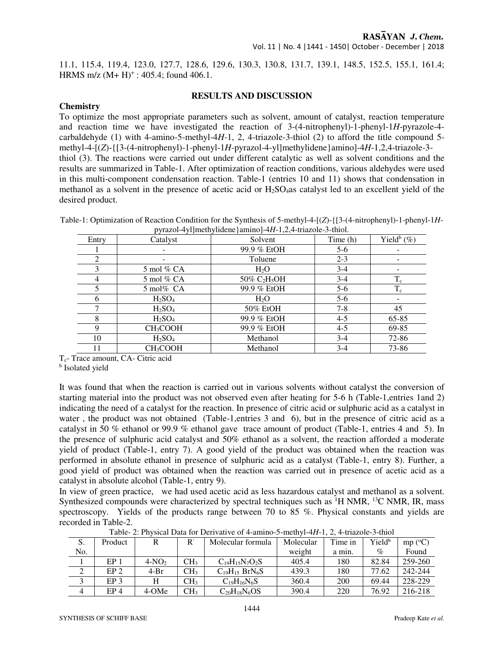11.1, 115.4, 119.4, 123.0, 127.7, 128.6, 129.6, 130.3, 130.8, 131.7, 139.1, 148.5, 152.5, 155.1, 161.4; HRMS m/z  $(M+H)^+$ : 405.4; found 406.1.

#### **RESULTS AND DISCUSSION**

#### **Chemistry**

To optimize the most appropriate parameters such as solvent, amount of catalyst, reaction temperature and reaction time we have investigated the reaction of 3-(4-nitrophenyl)-1-phenyl-1*H*-pyrazole-4 carbaldehyde (1) with 4-amino-5-methyl-4*H*-1, 2, 4-triazole-3-thiol (2) to afford the title compound 5 methyl-4-[(*Z*)-{[3-(4-nitrophenyl)-1-phenyl-1*H*-pyrazol-4-yl]methylidene}amino]-4*H*-1,2,4-triazole-3 thiol (3). The reactions were carried out under different catalytic as well as solvent conditions and the results are summarized in Table-1. After optimization of reaction conditions, various aldehydes were used in this multi-component condensation reaction. Table-1 (entries 10 and 11) shows that condensation in methanol as a solvent in the presence of acetic acid or H2SO4as catalyst led to an excellent yield of the desired product.

| Entry | Catalyst                       | Solvent                                 | Time (h) | Yield <sup>b</sup> $(\%)$ |
|-------|--------------------------------|-----------------------------------------|----------|---------------------------|
|       |                                | 99.9 % EtOH                             | $5-6$    |                           |
| 2     |                                | Toluene                                 | $2 - 3$  |                           |
| 3     | 5 mol $%$ CA                   | $H_2O$                                  | $3-4$    |                           |
| 4     | 5 mol $\%$ CA                  | $50\%$ C <sub>2</sub> H <sub>5</sub> OH | $3-4$    | $T_c$                     |
|       | $5 \text{ mol\%}$ CA           | 99.9 % EtOH                             | $5-6$    | $T_c$                     |
| 6     | H <sub>2</sub> SO <sub>4</sub> | H <sub>2</sub> O                        | $5-6$    |                           |
|       | H <sub>2</sub> SO <sub>4</sub> | 50% EtOH                                | $7 - 8$  | 45                        |
| 8     | $H_2SO_4$                      | 99.9 % EtOH                             | $4 - 5$  | $65 - 85$                 |
| 9     | <b>CH<sub>3</sub>COOH</b>      | 99.9 % EtOH                             | $4 - 5$  | 69-85                     |
| 10    | H <sub>2</sub> SO <sub>4</sub> | Methanol                                | $3-4$    | 72-86                     |
| 11    | CH <sub>3</sub> COOH           | Methanol                                | $3-4$    | 73-86                     |

Table-1: Optimization of Reaction Condition for the Synthesis of 5-methyl-4-[(*Z*)-{[3-(4-nitrophenyl)-1-phenyl-1*H*pyrazol-4yl]methylidene}amino]-4*H*-1,2,4-triazole-3-thiol.

Tc- Trace amount, CA- Citric acid

**b** Isolated yield

It was found that when the reaction is carried out in various solvents without catalyst the conversion of starting material into the product was not observed even after heating for 5-6 h (Table-1,entries 1and 2) indicating the need of a catalyst for the reaction. In presence of citric acid or sulphuric acid as a catalyst in water, the product was not obtained (Table-1, entries 3 and 6), but in the presence of citric acid as a catalyst in 50 % ethanol or 99.9 % ethanol gave trace amount of product (Table-1, entries 4 and 5). In the presence of sulphuric acid catalyst and 50% ethanol as a solvent, the reaction afforded a moderate yield of product (Table-1, entry 7). A good yield of the product was obtained when the reaction was performed in absolute ethanol in presence of sulphuric acid as a catalyst (Table-1, entry 8). Further, a good yield of product was obtained when the reaction was carried out in presence of acetic acid as a catalyst in absolute alcohol (Table-1, entry 9).

In view of green practice, we had used acetic acid as less hazardous catalyst and methanol as a solvent. Synthesized compounds were characterized by spectral techniques such as  ${}^{1}H$  NMR,  ${}^{13}C$  NMR, IR, mass spectroscopy. Yields of the products range between 70 to 85 %. Physical constants and yields are recorded in Table-2.

| S.             | Product         |         | D               | Molecular formula     | Molecular | Time in | Yield <sup>b</sup> | mp (°C) |  |  |
|----------------|-----------------|---------|-----------------|-----------------------|-----------|---------|--------------------|---------|--|--|
| No.            |                 |         |                 |                       | weight    | a min.  | $\%$               | Found   |  |  |
|                | EP <sub>1</sub> | $4-NO2$ | CH <sub>3</sub> | $C_{19}H_{15}N_7O_2S$ | 405.4     | 180     | 82.84              | 259-260 |  |  |
| $\mathcal{L}$  | EP <sub>2</sub> | 4-Br    | CH <sub>3</sub> | $C19H15 BrN6S$        | 439.3     | 180     | 77.62              | 242-244 |  |  |
|                | EP <sub>3</sub> |         | CH <sub>3</sub> | $C_{19}H_{16}N_6S$    | 360.4     | 200     | 69.44              | 228-229 |  |  |
| $\overline{4}$ | EP <sub>4</sub> | 4-OMe   | CH <sub>3</sub> | $C20H18N6OS$          | 390.4     | 220     | 76.92              | 216-218 |  |  |

Table- 2: Physical Data for Derivative of 4-amino-5-methyl-4*H*-1, 2, 4-triazole-3-thiol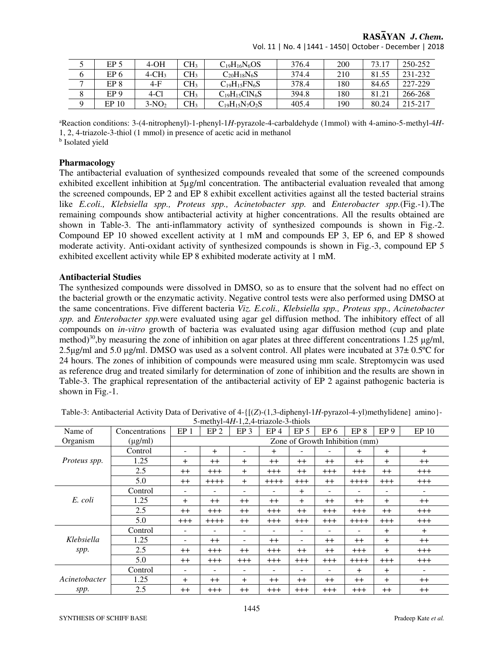|         | EP <sub>5</sub>  | 4-OH                 | CH <sub>3</sub> | $C_{19}H_{16}N_6OS$   | 376.4 | 200 | 73.17 | 250-252 |
|---------|------------------|----------------------|-----------------|-----------------------|-------|-----|-------|---------|
|         | EP 6             | $4$ -CH <sub>3</sub> | CH3             | $C_{20}H_{18}N_6S$    | 374.4 | 210 | 81.55 | 231-232 |
|         | EP 8             | $4-F$                | CH3             | $C_{19}H_{15}FN_6S$   | 378.4 | 180 | 84.65 | 227-229 |
| $\circ$ | EP <sub>9</sub>  | $4-C1$               | CH3             | $C_{19}H_{15}CIN_6S$  | 394.8 | 180 | 81.21 | 266-268 |
|         | EP <sub>10</sub> | $3-NO2$              | CH <sub>3</sub> | $C_{19}H_{15}N_7O_2S$ | 405.4 | 190 | 80.24 | 215-217 |

Vol. 11 | No. 4 |1441 - 1450| October - December | 2018

<sup>a</sup>Reaction conditions: 3-(4-nitrophenyl)-1-phenyl-1*H*-pyrazole-4-carbaldehyde (1mmol) with 4-amino-5-methyl-4*H*-1, 2, 4-triazole-3-thiol (1 mmol) in presence of acetic acid in methanol

**b** Isolated yield

#### **Pharmacology**

The antibacterial evaluation of synthesized compounds revealed that some of the screened compounds exhibited excellent inhibition at 5µg/ml concentration. The antibacterial evaluation revealed that among the screened compounds, EP 2 and EP 8 exhibit excellent activities against all the tested bacterial strains like *E.coli., Klebsiella spp., Proteus spp., Acinetobacter spp.* and *Enterobacter spp.*(Fig.-1). The remaining compounds show antibacterial activity at higher concentrations. All the results obtained are shown in Table-3. The anti-inflammatory activity of synthesized compounds is shown in Fig.-2. Compound EP 10 showed excellent activity at 1 mM and compounds EP 3, EP 6, and EP 8 showed moderate activity. Anti-oxidant activity of synthesized compounds is shown in Fig.-3, compound EP 5 exhibited excellent activity while EP 8 exhibited moderate activity at 1 mM.

#### **Antibacterial Studies**

The synthesized compounds were dissolved in DMSO, so as to ensure that the solvent had no effect on the bacterial growth or the enzymatic activity. Negative control tests were also performed using DMSO at the same concentrations. Five different bacteria *Viz. E.coli., Klebsiella spp., Proteus spp., Acinetobacter spp.* and *Enterobacter spp.*were evaluated using agar gel diffusion method. The inhibitory effect of all compounds on *in-vitro* growth of bacteria was evaluated using agar diffusion method (cup and plate method)<sup>30</sup>, by measuring the zone of inhibition on agar plates at three different concentrations 1.25 µg/ml, 2.5µg/ml and 5.0 µg/ml. DMSO was used as a solvent control. All plates were incubated at  $37\pm0.5^{\circ}$ C for 24 hours. The zones of inhibition of compounds were measured using mm scale. Streptomycin was used as reference drug and treated similarly for determination of zone of inhibition and the results are shown in Table-3. The graphical representation of the antibacterial activity of EP 2 against pathogenic bacteria is shown in Fig.-1.

| $\sigma$ means in 1,2, and $\sigma$ and $\sigma$ |                |                                |                 |                 |                 |                 |                 |                 |                 |                          |
|--------------------------------------------------|----------------|--------------------------------|-----------------|-----------------|-----------------|-----------------|-----------------|-----------------|-----------------|--------------------------|
| Name of                                          | Concentrations | EP <sub>1</sub>                | EP <sub>2</sub> | EP <sub>3</sub> | EP <sub>4</sub> | EP <sub>5</sub> | EP <sub>6</sub> | EP <sub>8</sub> | EP <sub>9</sub> | EP 10                    |
| Organism                                         | $(\mu g/ml)$   | Zone of Growth Inhibition (mm) |                 |                 |                 |                 |                 |                 |                 |                          |
|                                                  | Control        | $\overline{\phantom{a}}$       | $+$             |                 | $\pm$           |                 |                 | $+$             | $+$             | $+$                      |
| Proteus spp.                                     | 1.25           | $\ddot{}$                      | $++$            | $\pm$           | $^{++}$         | $++$            | $++$            | $++$            | $+$             | $^{++}$                  |
|                                                  | 2.5            | $^{++}$                        | $^{+++}$        | $+$             | $^{+++}$        | $^{++}$         | $^{+++}$        | $+++$           | $++$            | $^{+++}$                 |
|                                                  | 5.0            | $^{++}$                        | $++++$          | $+$             | $++++$          | $^{+++}$        | $^{++}$         | $++++$          | $^{+++}$        | $^{+++}$                 |
|                                                  | Control        | ۰                              |                 |                 | ۰               | $+$             |                 |                 | -               | $\overline{\phantom{a}}$ |
| E. coli                                          | 1.25           | $+$                            | $^{++}$         | $++$            | $^{++}$         | $+$             | $++$            | $++$            | $^{+}$          | $++$                     |
|                                                  | 2.5            | $++$                           | $^{+++}$        | $++$            | $^{+++}$        | $++$            | $^{+++}$        | $+++$           | $++$            | $^{+++}$                 |
|                                                  | 5.0            | $+++$                          | $++++$          | $++$            | $^{+++}$        | $^{+++}$        | $^{+++}$        | $++++$          | $^{+++}$        | $^{+++}$                 |
|                                                  | Control        |                                |                 |                 |                 |                 |                 |                 | $+$             | $+$                      |
| Klebsiella                                       | 1.25           |                                | $^{++}$         |                 | $^{++}$         |                 | $^{++}$         | $^{++}$         | $\pm$           | $^{++}$                  |
| spp.                                             | 2.5            | $^{++}$                        | $^{+++}$        | $^{++}$         | $^{+++}$        | $^{++}$         | $++$            | $^{+++}$        | $+$             | $^{+++}$                 |
|                                                  | 5.0            | $^{++}$                        | $^{+++}$        | $^{+++}$        | $^{+++}$        | $^{+++}$        | $^{+++}$        | $++++-$         | $^{+++}$        | $^{+++}$                 |
|                                                  | Control        | ۰                              | -               |                 | ۰               |                 |                 | $+$             | $+$             | -                        |
| Acinetobacter                                    | 1.25           | $+$                            | $^{++}$         | $\pm$           | $^{++}$         | $^{++}$         | $++$            | $^{++}$         | $+$             | $^{++}$                  |
| spp.                                             | 2.5            | $^{++}$                        | $^{+++}$        | $++$            | $^{+++}$        | $^{+++}$        | $^{+++}$        | $^{+++}$        | $++$            | $++$                     |

Table-3: Antibacterial Activity Data of Derivative of 4-{[(*Z*)-(1,3-diphenyl-1*H*-pyrazol-4-yl)methylidene] amino}- 5-methyl-4*H*-1,2,4-triazole-3-thiols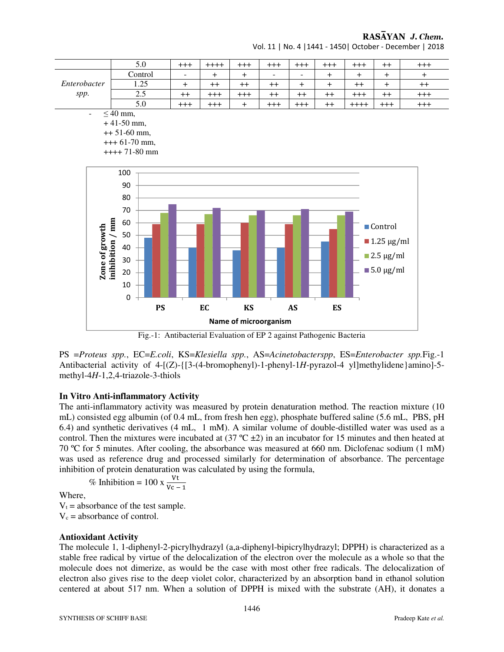

Vol. 11 | No. 4 |1441 - 1450| October - December | 2018

Fig.-1: Antibacterial Evaluation of EP 2 against Pathogenic Bacteria

PS =*Proteus spp.*, EC=*E.coli*, KS=*Klesiella spp.*, AS=*Acinetobacterspp*, ES=*Enterobacter spp.*Fig.-1 Antibacterial activity of 4-[(Z)-{[3-(4-bromophenyl)-1-phenyl-1*H*-pyrazol-4 yl]methylidene}amino]-5 methyl-4*H*-1,2,4-triazole-3-thiols

#### **In Vitro Anti-inflammatory Activity**

The anti-inflammatory activity was measured by protein denaturation method. The reaction mixture (10 mL) consisted egg albumin (of 0.4 mL, from fresh hen egg), phosphate buffered saline (5.6 mL, PBS, pH 6.4) and synthetic derivatives (4 mL, 1 mM). A similar volume of double-distilled water was used as a control. Then the mixtures were incubated at  $(37 \text{ °C} \pm 2)$  in an incubator for 15 minutes and then heated at 70 ºC for 5 minutes. After cooling, the absorbance was measured at 660 nm. Diclofenac sodium (1 mM) was used as reference drug and processed similarly for determination of absorbance. The percentage inhibition of protein denaturation was calculated by using the formula,

% Inhibition = 100 x 
$$
\frac{Vt}{Vc-1}
$$

Where,

 $V_t$  = absorbance of the test sample.  $V_c$  = absorbance of control.

## **Antioxidant Activity**

The molecule 1, 1-diphenyl-2-picrylhydrazyl (a,a-diphenyl-bipicrylhydrazyl; DPPH) is characterized as a stable free radical by virtue of the delocalization of the electron over the molecule as a whole so that the molecule does not dimerize, as would be the case with most other free radicals. The delocalization of electron also gives rise to the deep violet color, characterized by an absorption band in ethanol solution centered at about 517 nm. When a solution of DPPH is mixed with the substrate (AH), it donates a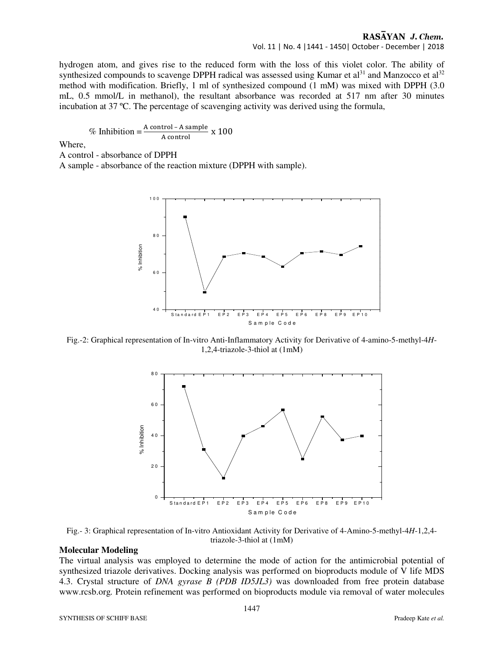Vol. 11 | No. 4 |1441 - 1450| October - December | 2018

hydrogen atom, and gives rise to the reduced form with the loss of this violet color. The ability of synthesized compounds to scavenge DPPH radical was assessed using Kumar et  $al<sup>31</sup>$  and Manzocco et  $al<sup>32</sup>$ method with modification. Briefly, 1 ml of synthesized compound (1 mM) was mixed with DPPH (3.0 mL, 0.5 mmol/L in methanol), the resultant absorbance was recorded at 517 nm after 30 minutes incubation at 37 ºC. The percentage of scavenging activity was derived using the formula,

% Inhibition = 
$$
\frac{\text{A control - A sample}}{\text{A control}}
$$
 x 100

Where,

A control - absorbance of DPPH

A sample - absorbance of the reaction mixture (DPPH with sample).



Fig.-2: Graphical representation of In-vitro Anti-Inflammatory Activity for Derivative of 4-amino-5-methyl-4*H*-1,2,4-triazole-3-thiol at (1mM)



Fig.- 3: Graphical representation of In-vitro Antioxidant Activity for Derivative of 4-Amino-5-methyl-4*H*-1,2,4 triazole-3-thiol at (1mM)

#### **Molecular Modeling**

The virtual analysis was employed to determine the mode of action for the antimicrobial potential of synthesized triazole derivatives. Docking analysis was performed on bioproducts module of V life MDS 4.3. Crystal structure of *DNA gyrase B (PDB ID5JL3)* was downloaded from free protein database www.rcsb.org*.* Protein refinement was performed on bioproducts module via removal of water molecules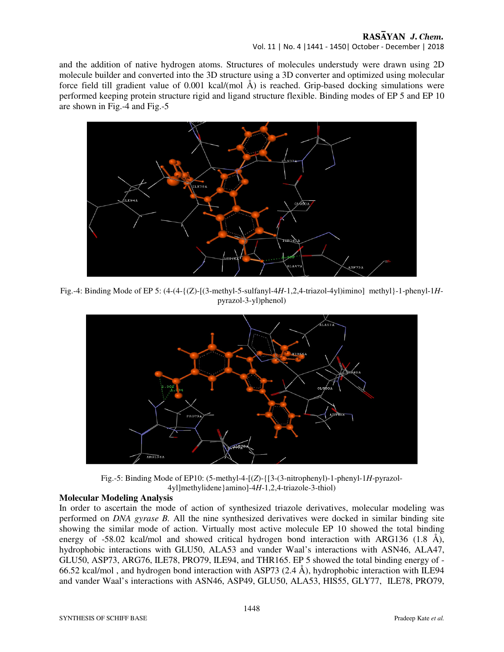Vol. 11 | No. 4 |1441 - 1450| October - December | 2018

and the addition of native hydrogen atoms. Structures of molecules understudy were drawn using 2D molecule builder and converted into the 3D structure using a 3D converter and optimized using molecular force field till gradient value of 0.001 kcal/(mol Å) is reached. Grip-based docking simulations were performed keeping protein structure rigid and ligand structure flexible. Binding modes of EP 5 and EP 10 are shown in Fig.-4 and Fig.-5



Fig.-4: Binding Mode of EP 5: (4-(4-{(Z)-[(3-methyl-5-sulfanyl-4*H*-1,2,4-triazol-4yl)imino] methyl}-1-phenyl-1*H*pyrazol-3-yl)phenol)



Fig.-5: Binding Mode of EP10: (5-methyl-4-[(*Z*)-{[3-(3-nitrophenyl)-1-phenyl-1*H*-pyrazol-4yl]methylidene}amino]-4*H*-1,2,4-triazole-3-thiol)

## **Molecular Modeling Analysis**

In order to ascertain the mode of action of synthesized triazole derivatives, molecular modeling was performed on *DNA gyrase B.* All the nine synthesized derivatives were docked in similar binding site showing the similar mode of action. Virtually most active molecule EP 10 showed the total binding energy of -58.02 kcal/mol and showed critical hydrogen bond interaction with ARG136 (1.8 Å), hydrophobic interactions with GLU50, ALA53 and vander Waal's interactions with ASN46, ALA47, GLU50, ASP73, ARG76, ILE78, PRO79, ILE94, and THR165. EP 5 showed the total binding energy of - 66.52 kcal/mol , and hydrogen bond interaction with ASP73 (2.4 Å), hydrophobic interaction with ILE94 and vander Waal's interactions with ASN46, ASP49, GLU50, ALA53, HIS55, GLY77, ILE78, PRO79,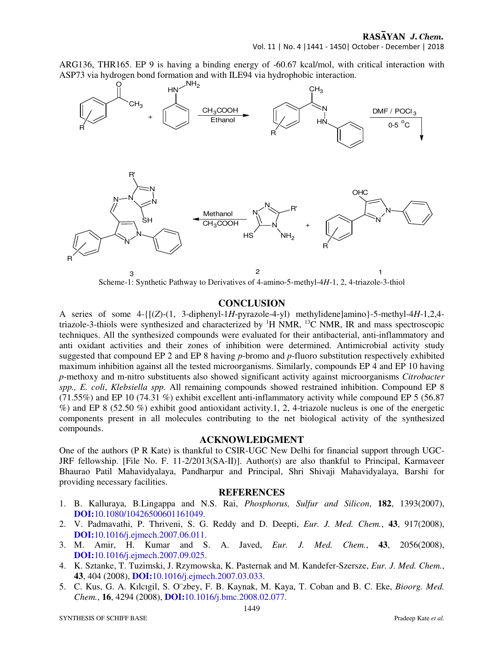ARG136, THR165. EP 9 is having a binding energy of -60.67 kcal/mol, with critical interaction with ASP73 via hydrogen bond formation and with ILE94 via hydrophobic interaction.



Scheme-1: Synthetic Pathway to Derivatives of 4-amino-5-methyl-4*H*-1, 2, 4-triazole-3-thiol

# **CONCLUSION**

A series of some 4-{[(*Z*)-(1, 3-diphenyl-1*H*-pyrazole-4-yl) methylidene]amino}-5-methyl-4*H*-1,2,4 triazole-3-thiols were synthesized and characterized by  ${}^{1}$ H NMR,  ${}^{13}$ C NMR, IR and mass spectroscopic techniques. All the synthesized compounds were evaluated for their antibacterial, anti-inflammatory and anti oxidant activities and their zones of inhibition were determined. Antimicrobial activity study suggested that compound EP 2 and EP 8 having *p*-bromo and *p*-fluoro substitution respectively exhibited maximum inhibition against all the tested microorganisms. Similarly, compounds EP 4 and EP 10 having *p*-methoxy and m-nitro substituents also showed significant activity against microorganisms *Citrobacter spp., E. coli*, *Klebsiella spp.* All remaining compounds showed restrained inhibition. Compound EP 8 (71.55%) and EP 10 (74.31 %) exhibit excellent anti-inflammatory activity while compound EP 5 (56.87 %) and EP 8 (52.50 %) exhibit good antioxidant activity.1, 2, 4-triazole nucleus is one of the energetic components present in all molecules contributing to the net biological activity of the synthesized compounds.

#### **ACKNOWLEDGMENT**

One of the authors (P R Kate) is thankful to CSIR-UGC New Delhi for financial support through UGC-JRF fellowship. [File No. F. 11-2/2013(SA-II)]. Author(s) are also thankful to Principal, Karmaveer Bhaurao Patil Mahavidyalaya, Pandharpur and Principal, Shri Shivaji Mahavidyalaya, Barshi for providing necessary facilities.

#### **REFERENCES**

- 1. B. Kalluraya, B.Lingappa and N.S. Rai, *Phosphorus, Sulfur and Silicon*, **182**, 1393(2007), **DOI:**10.1080/10426500601161049.
- 2. V. Padmavathi, P. Thriveni, S. G. Reddy and D. Deepti, *Eur. J. Med. Chem.*, **43**, 917(2008), **DOI:**10.1016/j.ejmech.2007.06.011.
- 3. M. Amir, H. Kumar and S. A. Javed, *Eur. J. Med. Chem.*, **43**, 2056(2008), **DOI:**10.1016/j.ejmech.2007.09.025.
- 4. K. Sztanke, T. Tuzimski, J. Rzymowska, K. Pasternak and M. Kandefer-Szersze, *Eur. J. Med. Chem.*, **43**, 404 (2008), **DOI:**10.1016/j.ejmech.2007.03.033.
- 5. C. Kus, G. A. Kılcıgil, S. O¨zbey, F. B. Kaynak, M. Kaya, T. Coban and B. C. Eke, *Bioorg. Med. Chem.*, **16**, 4294 (2008), **DOI:**10.1016/j.bmc.2008.02.077.